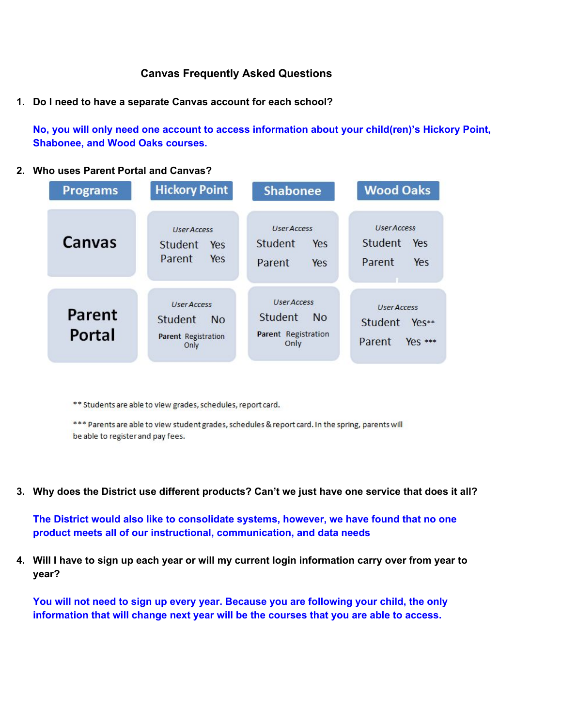### **Canvas Frequently Asked Questions**

**1. Do I need to have a separate Canvas account for each school?**

**No, you will only need one account to access information about your child(ren)'s Hickory Point, Shabonee, and Wood Oaks courses.**

#### **2. Who uses Parent Portal and Canvas?**

| <b>Programs</b>  | <b>Hickory Point</b>                                                             | <b>Shabonee</b>                                                           | <b>Wood Oaks</b>                                             |
|------------------|----------------------------------------------------------------------------------|---------------------------------------------------------------------------|--------------------------------------------------------------|
| Canvas           | <b>User Access</b><br>Student<br>Yes<br>Parent<br>Yes                            | <b>User Access</b><br>Student<br>Yes<br>Parent<br>Yes                     | <b>User Access</b><br><b>Student</b><br>Yes<br>Parent<br>Yes |
| Parent<br>Portal | <b>User Access</b><br><b>Student</b><br><b>No</b><br>Parent Registration<br>Only | <b>User Access</b><br>Student<br><b>No</b><br>Parent Registration<br>Only | <b>User Access</b><br>Student<br>Yes**<br>Yes ***<br>Parent  |

\*\* Students are able to view grades, schedules, report card.

\*\*\* Parents are able to view student grades, schedules & report card. In the spring, parents will be able to register and pay fees.

**3. Why does the District use different products? Can't we just have one service that does it all?**

**The District would also like to consolidate systems, however, we have found that no one product meets all of our instructional, communication, and data needs**

**4. Will I have to sign up each year or will my current login information carry over from year to year?**

**You will not need to sign up every year. Because you are following your child, the only information that will change next year will be the courses that you are able to access.**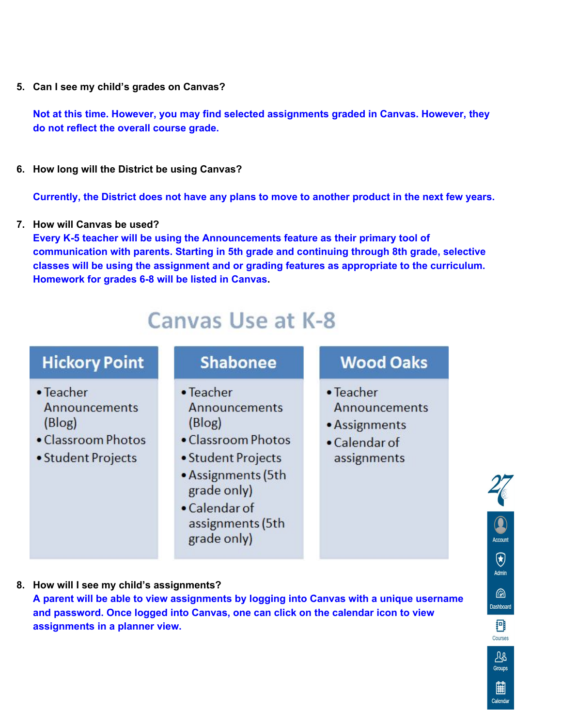**5. Can I see my child's grades on Canvas?**

**Not at this time. However, you may find selected assignments graded in Canvas. However, they do not reflect the overall course grade.**

**6. How long will the District be using Canvas?**

**Currently, the District does not have any plans to move to another product in the next few years.**

**7. How will Canvas be used?**

**Every K5 teacher will be using the Announcements feature as their primary tool of communication with parents. Starting in 5th grade and continuing through 8th grade, selective classes will be using the assignment and or grading features as appropriate to the curriculum. Homework for grades 6-8 will be listed in Canvas.** 

# Canvas Use at K-8

## **Hickory Point**

- Teacher Announcements (Blog)
- Classroom Photos
- Student Projects

### **Shabonee**

- Teacher Announcements (Blog)
- Classroom Photos
- Student Projects
- Assignments (5th grade only)
- Calendar of assignments (5th grade only)

### **Wood Oaks**

- Teacher Announcements
- Assignments
- Calendar of assignments

**8. How will I see my child's assignments? A parent will be able to view assignments by logging into Canvas with a unique username and password. Once logged into Canvas, one can click on the calendar icon to view assignments in a planner view.**